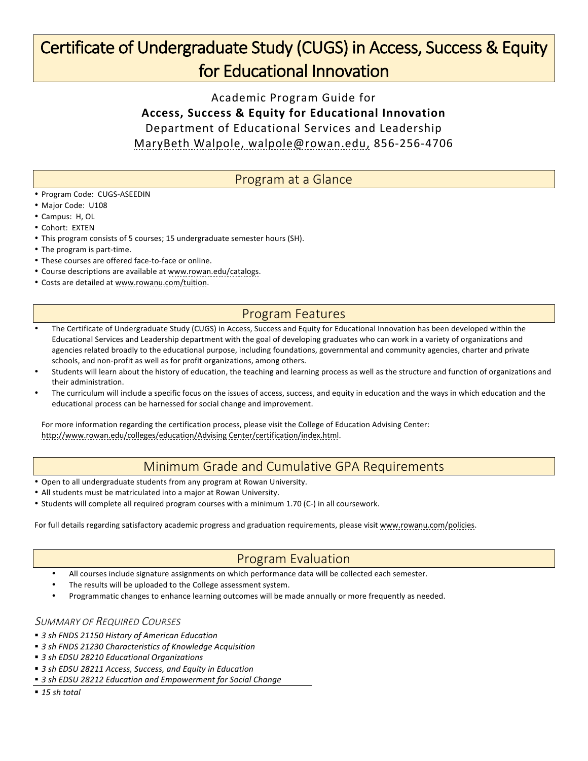## Certificate of Undergraduate Study (CUGS) in Access, Success & Equity for Educational Innovation

Academic Program Guide for **Access, Success & Equity for Educational Innovation** Department of Educational Services and Leadership MaryBeth Walpole, walpole@rowan.edu, 856-256-4706

### Program at a Glance

- Program Code: CUGS-ASEEDIN
- Major Code: U108
- Campus: H, OL
- Cohort: EXTEN
- This program consists of 5 courses; 15 undergraduate semester hours (SH).
- The program is part-time.
- These courses are offered face-to-face or online.
- Course descriptions are available at www.rowan.edu/catalogs.
- Costs are detailed at www.rowanu.com/tuition.

### Program Features

- The Certificate of Undergraduate Study (CUGS) in Access, Success and Equity for Educational Innovation has been developed within the Educational Services and Leadership department with the goal of developing graduates who can work in a variety of organizations and agencies related broadly to the educational purpose, including foundations, governmental and community agencies, charter and private schools, and non-profit as well as for profit organizations, among others.
- Students will learn about the history of education, the teaching and learning process as well as the structure and function of organizations and their administration.
- The curriculum will include a specific focus on the issues of access, success, and equity in education and the ways in which education and the educational process can be harnessed for social change and improvement.

For more information regarding the certification process, please visit the College of Education Advising Center: http://www.rowan.edu/colleges/education/Advising Center/certification/index.html.

### Minimum Grade and Cumulative GPA Requirements

- Open to all undergraduate students from any program at Rowan University.
- All students must be matriculated into a major at Rowan University.
- Students will complete all required program courses with a minimum 1.70 (C-) in all coursework.

For full details regarding satisfactory academic progress and graduation requirements, please visit www.rowanu.com/policies.

### Program Evaluation

- All courses include signature assignments on which performance data will be collected each semester.
- The results will be uploaded to the College assessment system.
- Programmatic changes to enhance learning outcomes will be made annually or more frequently as needed.

#### SUMMARY OF REQUIRED COURSES

- 3 sh FNDS 21150 History of American Education
- 3 sh FNDS 21230 Characteristics of Knowledge Acquisition
- 3 sh EDSU 28210 Educational Organizations
- 3 sh EDSU 28211 Access, Success, and Equity in Education
- 3 sh EDSU 28212 Education and Empowerment for Social Change
- § *15 sh total*